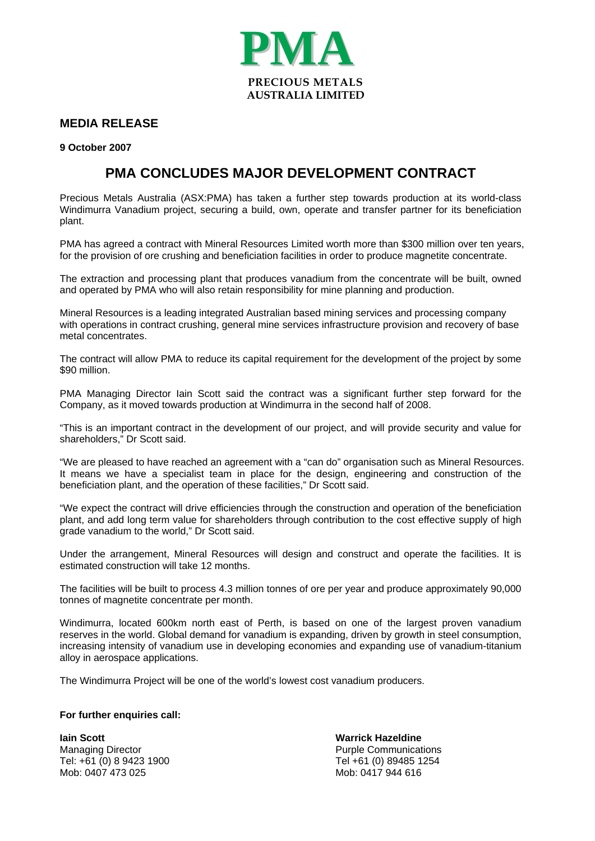

## **MEDIA RELEASE**

**9 October 2007** 

## **PMA CONCLUDES MAJOR DEVELOPMENT CONTRACT**

Precious Metals Australia (ASX:PMA) has taken a further step towards production at its world-class Windimurra Vanadium project, securing a build, own, operate and transfer partner for its beneficiation plant.

PMA has agreed a contract with Mineral Resources Limited worth more than \$300 million over ten years, for the provision of ore crushing and beneficiation facilities in order to produce magnetite concentrate.

The extraction and processing plant that produces vanadium from the concentrate will be built, owned and operated by PMA who will also retain responsibility for mine planning and production.

Mineral Resources is a leading integrated Australian based mining services and processing company with operations in contract crushing, general mine services infrastructure provision and recovery of base metal concentrates.

The contract will allow PMA to reduce its capital requirement for the development of the project by some \$90 million.

PMA Managing Director Iain Scott said the contract was a significant further step forward for the Company, as it moved towards production at Windimurra in the second half of 2008.

"This is an important contract in the development of our project, and will provide security and value for shareholders," Dr Scott said.

"We are pleased to have reached an agreement with a "can do" organisation such as Mineral Resources. It means we have a specialist team in place for the design, engineering and construction of the beneficiation plant, and the operation of these facilities," Dr Scott said.

"We expect the contract will drive efficiencies through the construction and operation of the beneficiation plant, and add long term value for shareholders through contribution to the cost effective supply of high grade vanadium to the world," Dr Scott said.

Under the arrangement, Mineral Resources will design and construct and operate the facilities. It is estimated construction will take 12 months.

The facilities will be built to process 4.3 million tonnes of ore per year and produce approximately 90,000 tonnes of magnetite concentrate per month.

Windimurra, located 600km north east of Perth, is based on one of the largest proven vanadium reserves in the world. Global demand for vanadium is expanding, driven by growth in steel consumption, increasing intensity of vanadium use in developing economies and expanding use of vanadium-titanium alloy in aerospace applications.

The Windimurra Project will be one of the world's lowest cost vanadium producers.

## **For further enquiries call:**

**Iain Scott Warrick Hazeldine**  Managing Director<br>
Tel: +61 (0) 8 9423 1900<br>
Tel: +61 (0) 89485 1254 Tel: +61 (0) 8 9423 1900<br>Mob: 0407 473 025

Mob: 0417 944 616